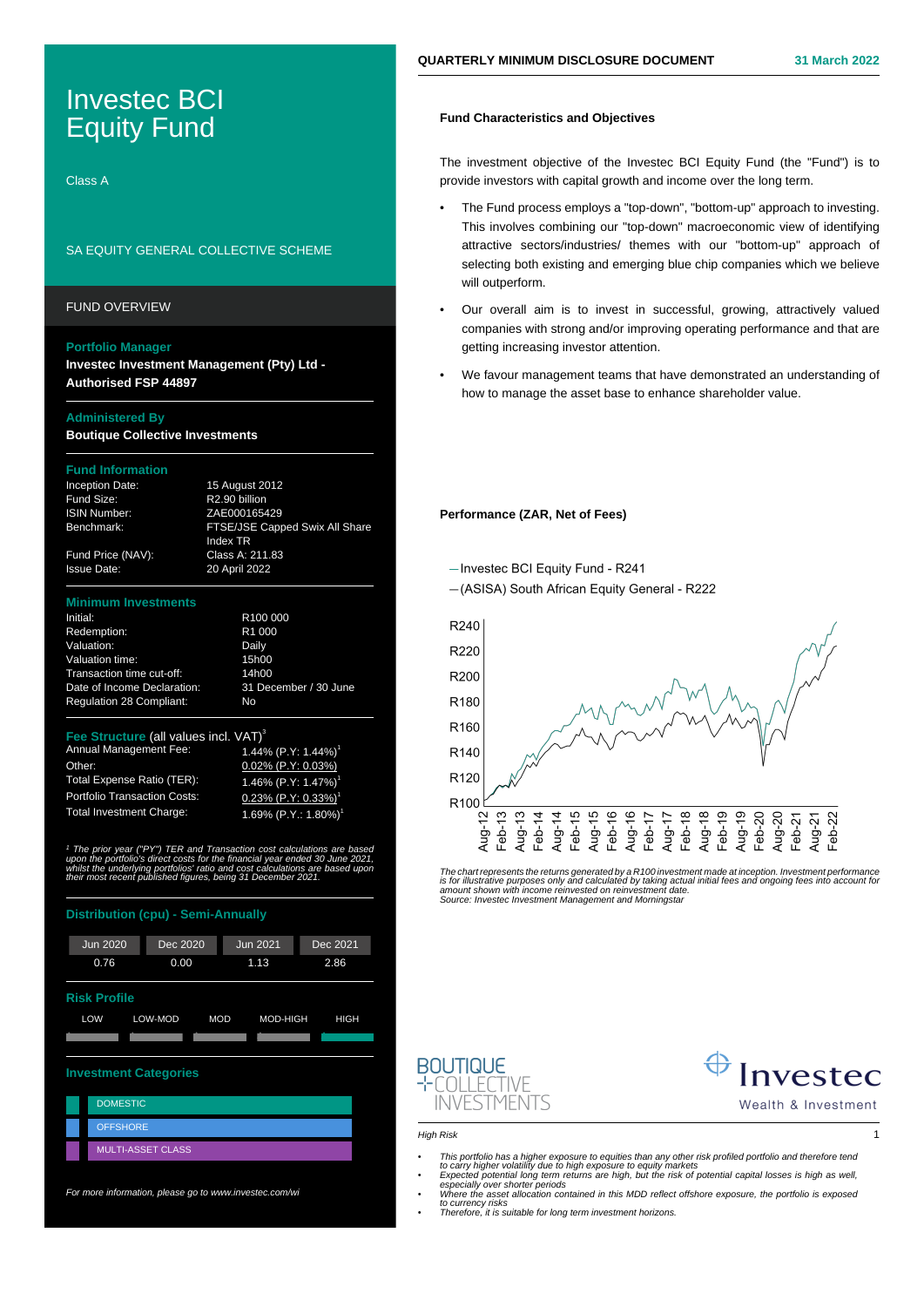# Investec BCI Equity Fund

Class A

# SA EQUITY GENERAL COLLECTIVE SCHEME

## FUND OVERVIEW

## **Portfolio Manager**

**Investec Investment Management (Pty) Ltd - Authorised FSP 44897**

## **Administered By**

**Boutique Collective Investments**

# **Fund Information**

| <b>Inception Date:</b> | 15 August 2012            |
|------------------------|---------------------------|
| Fund Size:             | R <sub>2.90</sub> billion |
| <b>ISIN Number:</b>    | ZAE000165429              |
| Benchmark:             | <b>FTSE/JSE Capp</b>      |
|                        | Index TR                  |
|                        |                           |

| Inception Date:     | 15 August 2012                 |
|---------------------|--------------------------------|
| Fund Size:          | R2.90 billion                  |
| <b>ISIN Number:</b> | ZAE000165429                   |
| Benchmark:          | FTSE/JSE Capped Swix All Share |
|                     | Index TR                       |
| Fund Price (NAV):   | Class A: 211.83                |
| <b>Issue Date:</b>  | 20 April 2022                  |
|                     |                                |

1.69% (P.Y.: 1.80%)

### **Minimum Investment**

| Initial:                        | R <sub>100</sub> 000  |
|---------------------------------|-----------------------|
| Redemption:                     | R <sub>1</sub> 000    |
| Valuation:                      | Daily                 |
| Valuation time:                 | 15h00                 |
| Transaction time cut-off:       | 14h00                 |
| Date of Income Declaration:     | 31 December / 30 June |
| <b>Regulation 28 Compliant:</b> | No                    |

# **Fee Structure** (all values incl. VAT)<sup>3</sup><br>Annual Management Fee: 1.44% (P.Y: 1.44%)<sup>1</sup>

Annual Management Fee: Other: 0.02% (P.Y: 0.03%)<br>Total Expense Ratio (TER): 1.46% (P.Y: 1.47%) Total Expense Ratio (TER): Portfolio Transaction Costs:  $0.23\%$   $(P.Y: 0.33\%)$ <br>Total Investment Charge:  $1.69\%$  (P Y · 1.80%)

1 The prior year ("PY") TER and Transaction cost calculations are based upon the portfolio's direct costs for the financial year ended 30 June 2021, whilst the underlying portfolios' ratio and cost calculations are based upon their most recent published figures, being 31 December 2021.

## **Distribution (cpu) - Semi-Annually**



For more information, please go to www.investec.com/wi

# **Fund Characteristics and Objectives**

The investment objective of the Investec BCI Equity Fund (the "Fund") is to provide investors with capital growth and income over the long term.

- The Fund process employs a "top-down", "bottom-up" approach to investing. This involves combining our "top-down" macroeconomic view of identifying attractive sectors/industries/ themes with our "bottom-up" approach of selecting both existing and emerging blue chip companies which we believe will outperform.
- Our overall aim is to invest in successful, growing, attractively valued companies with strong and/or improving operating performance and that are getting increasing investor attention.
- We favour management teams that have demonstrated an understanding of how to manage the asset base to enhance shareholder value.

## **Performance (ZAR, Net of Fees)**

-Investec BCI Equity Fund - R241

-(ASISA) South African Equity General - R222



The chart represents the returns generated by a R100 investment made at inception. Investment performance<br>is for illustrative purposes only and calculated by taking actual initial fees and ongoing fees into account fo<br>amou





Wealth & Investment

High Risk 1

- 
- This portfolio has a higher exposure to equities than any other risk profiled portfolio and therefore tend<br>to carry higher volatility due to high exposure to equity markets<br>- Expected potential long term returns are high
	-
- to currency risks Therefore, it is suitable for long term investment horizons.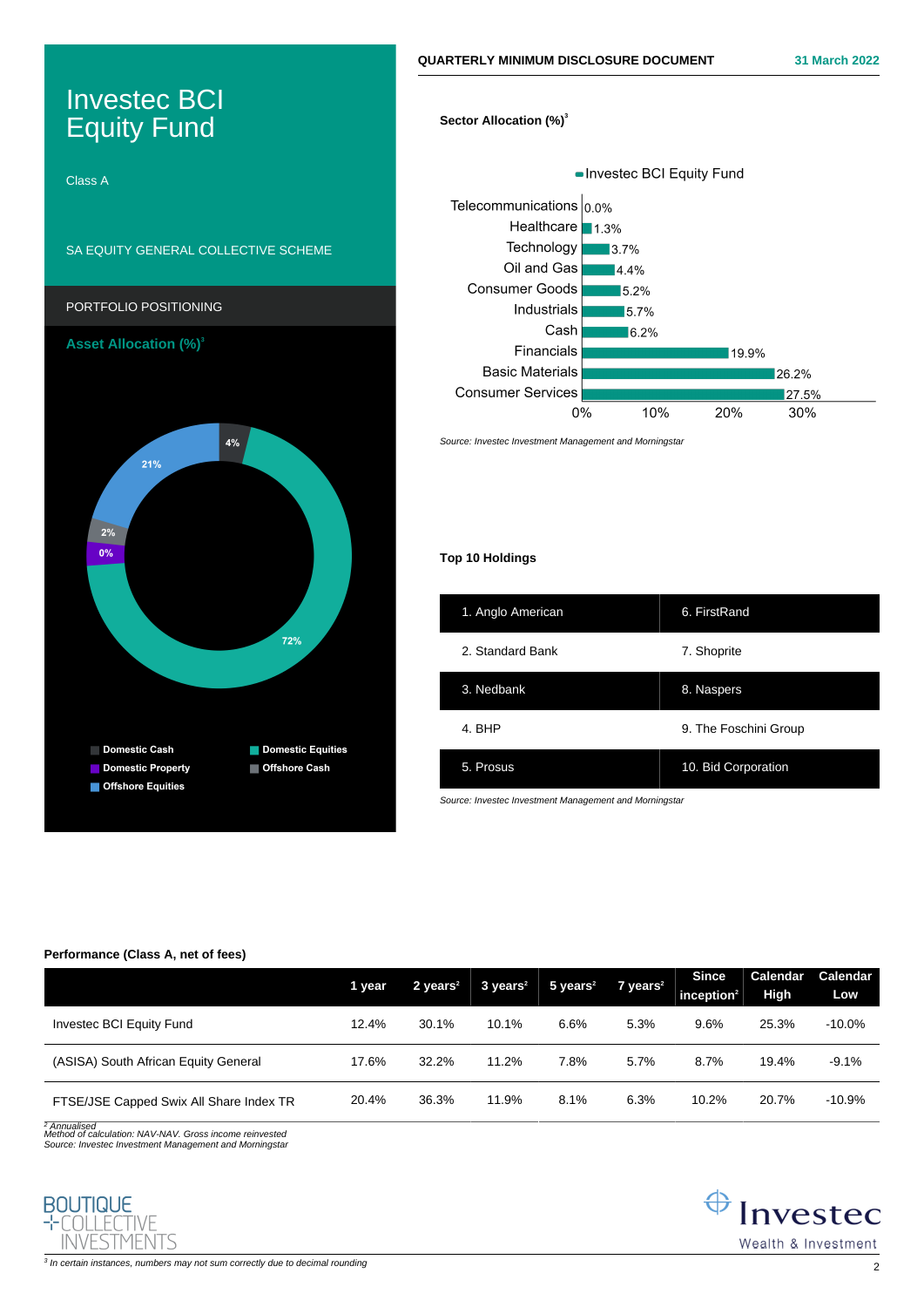# Investec BCI Equity Fund

Class A

# SA EQUITY GENERAL COLLECTIVE SCHEME



# **Sector Allocation (%)<sup>3</sup>**



Source: Investec Investment Management and Morningstar

# **Top 10 Holdings**

| 1. Anglo American | 6. FirstRand          |
|-------------------|-----------------------|
| 2. Standard Bank  | 7. Shoprite           |
| 3. Nedbank        | 8. Naspers            |
| 4. BHP            | 9. The Foschini Group |
| 5. Prosus         | 10. Bid Corporation   |

Source: Investec Investment Management and Morningstar

## **Performance (Class A, net of fees)**

|                                         | 1 year | $2$ years <sup>2</sup> | $3 \text{ years}^2$ | $5$ years <sup>2</sup> | $7$ years <sup>2</sup> | <b>Since</b><br>inception $2$ | Calendar<br>High | Calendar<br>Low |
|-----------------------------------------|--------|------------------------|---------------------|------------------------|------------------------|-------------------------------|------------------|-----------------|
| Investec BCI Equity Fund                | 12.4%  | 30.1%                  | 10.1%               | 6.6%                   | 5.3%                   | 9.6%                          | 25.3%            | $-10.0\%$       |
| (ASISA) South African Equity General    | 17.6%  | 32.2%                  | 11.2%               | 7.8%                   | 5.7%                   | 8.7%                          | 19.4%            | $-9.1%$         |
| FTSE/JSE Capped Swix All Share Index TR | 20.4%  | 36.3%                  | 11.9%               | 8.1%                   | 6.3%                   | 10.2%                         | 20.7%            | $-10.9%$        |

<sup>2</sup> Annualised<br>Method of calculation: NAV-NAV. Gross income reinvested Source: Investec Investment Management and Morningstar